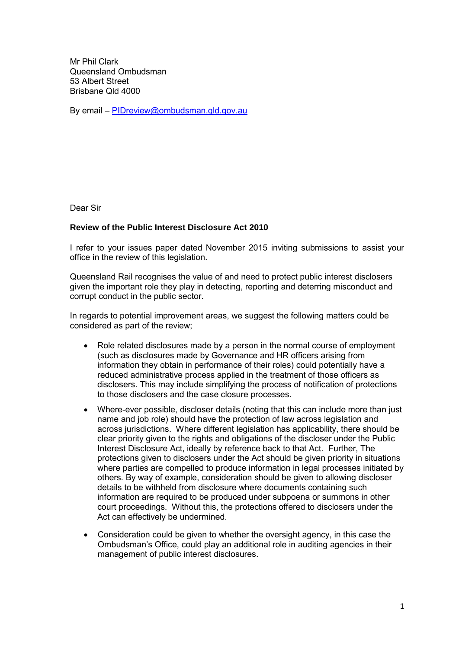Mr Phil Clark Queensland Ombudsman 53 Albert Street Brisbane Qld 4000

By email – [PIDreview@ombudsman.qld.gov.au](mailto:PIDreview@ombudsman.qld.gov.au)

Dear Sir

## **Review of the Public Interest Disclosure Act 2010**

I refer to your issues paper dated November 2015 inviting submissions to assist your office in the review of this legislation.

Queensland Rail recognises the value of and need to protect public interest disclosers given the important role they play in detecting, reporting and deterring misconduct and corrupt conduct in the public sector.

In regards to potential improvement areas, we suggest the following matters could be considered as part of the review;

- Role related disclosures made by a person in the normal course of employment (such as disclosures made by Governance and HR officers arising from information they obtain in performance of their roles) could potentially have a reduced administrative process applied in the treatment of those officers as disclosers. This may include simplifying the process of notification of protections to those disclosers and the case closure processes.
- Where-ever possible, discloser details (noting that this can include more than just name and job role) should have the protection of law across legislation and across jurisdictions. Where different legislation has applicability, there should be clear priority given to the rights and obligations of the discloser under the Public Interest Disclosure Act, ideally by reference back to that Act. Further, The protections given to disclosers under the Act should be given priority in situations where parties are compelled to produce information in legal processes initiated by others. By way of example, consideration should be given to allowing discloser details to be withheld from disclosure where documents containing such information are required to be produced under subpoena or summons in other court proceedings. Without this, the protections offered to disclosers under the Act can effectively be undermined.
- Consideration could be given to whether the oversight agency, in this case the Ombudsman's Office, could play an additional role in auditing agencies in their management of public interest disclosures.